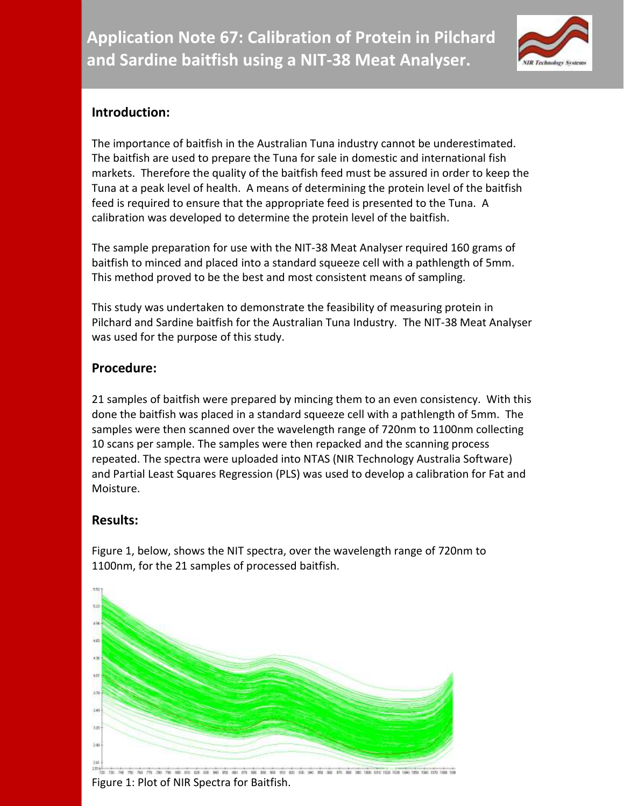

## **Introduction:**

The importance of baitfish in the Australian Tuna industry cannot be underestimated. The baitfish are used to prepare the Tuna for sale in domestic and international fish markets. Therefore the quality of the baitfish feed must be assured in order to keep the Tuna at a peak level of health. A means of determining the protein level of the baitfish feed is required to ensure that the appropriate feed is presented to the Tuna. A calibration was developed to determine the protein level of the baitfish.

The sample preparation for use with the NIT-38 Meat Analyser required 160 grams of baitfish to minced and placed into a standard squeeze cell with a pathlength of 5mm. This method proved to be the best and most consistent means of sampling.

This study was undertaken to demonstrate the feasibility of measuring protein in Pilchard and Sardine baitfish for the Australian Tuna Industry. The NIT-38 Meat Analyser was used for the purpose of this study.

## **Procedure:**

21 samples of baitfish were prepared by mincing them to an even consistency. With this done the baitfish was placed in a standard squeeze cell with a pathlength of 5mm. The samples were then scanned over the wavelength range of 720nm to 1100nm collecting 10 scans per sample. The samples were then repacked and the scanning process repeated. The spectra were uploaded into NTAS (NIR Technology Australia Software) and Partial Least Squares Regression (PLS) was used to develop a calibration for Fat and Moisture.

## **Results:**

Figure 1, below, shows the NIT spectra, over the wavelength range of 720nm to 1100nm, for the 21 samples of processed baitfish.